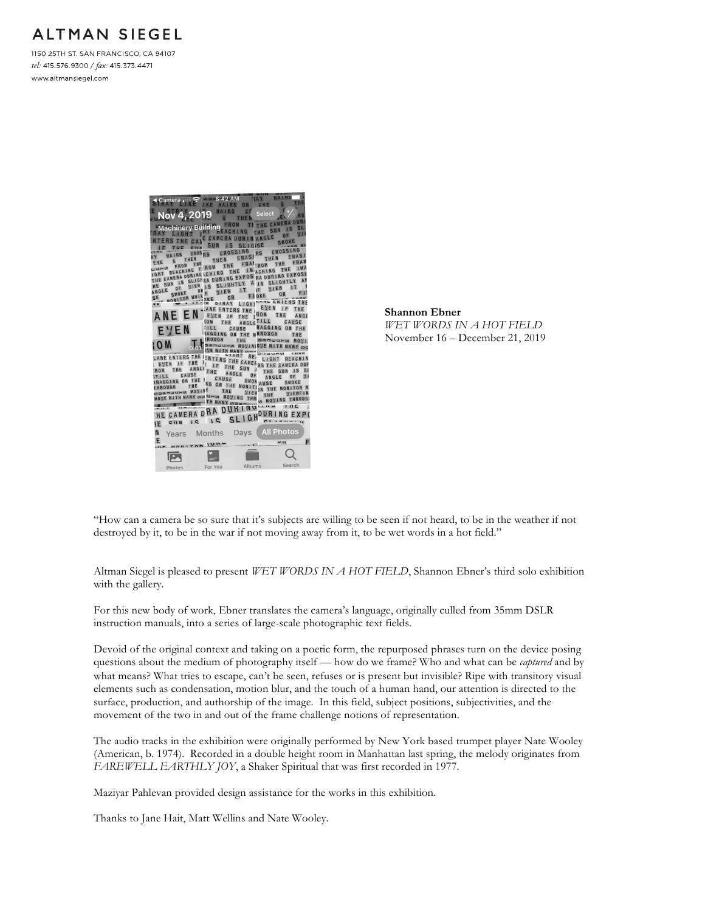## **ALTMAN SIEGEL**

1150 25TH ST. SAN FRANCISCO, CA 94107 tel: 415.576.9300 / fax: 415.373.4471 www.altmansiegel.com



**Shannon Ebner** *WET WORDS IN A HOT FIELD* November 16 – December 21, 2019

"How can a camera be so sure that it's subjects are willing to be seen if not heard, to be in the weather if not destroyed by it, to be in the war if not moving away from it, to be wet words in a hot field."

Altman Siegel is pleased to present *WET WORDS IN A HOT FIELD*, Shannon Ebner's third solo exhibition with the gallery.

For this new body of work, Ebner translates the camera's language, originally culled from 35mm DSLR instruction manuals, into a series of large-scale photographic text fields.

Devoid of the original context and taking on a poetic form, the repurposed phrases turn on the device posing questions about the medium of photography itself — how do we frame? Who and what can be *captured* and by what means? What tries to escape, can't be seen, refuses or is present but invisible? Ripe with transitory visual elements such as condensation, motion blur, and the touch of a human hand, our attention is directed to the surface, production, and authorship of the image. In this field, subject positions, subjectivities, and the movement of the two in and out of the frame challenge notions of representation.

The audio tracks in the exhibition were originally performed by New York based trumpet player Nate Wooley (American, b. 1974). Recorded in a double height room in Manhattan last spring, the melody originates from *FAREWELL EARTHLY JOY*, a Shaker Spiritual that was first recorded in 1977.

Maziyar Pahlevan provided design assistance for the works in this exhibition.

Thanks to Jane Hait, Matt Wellins and Nate Wooley.